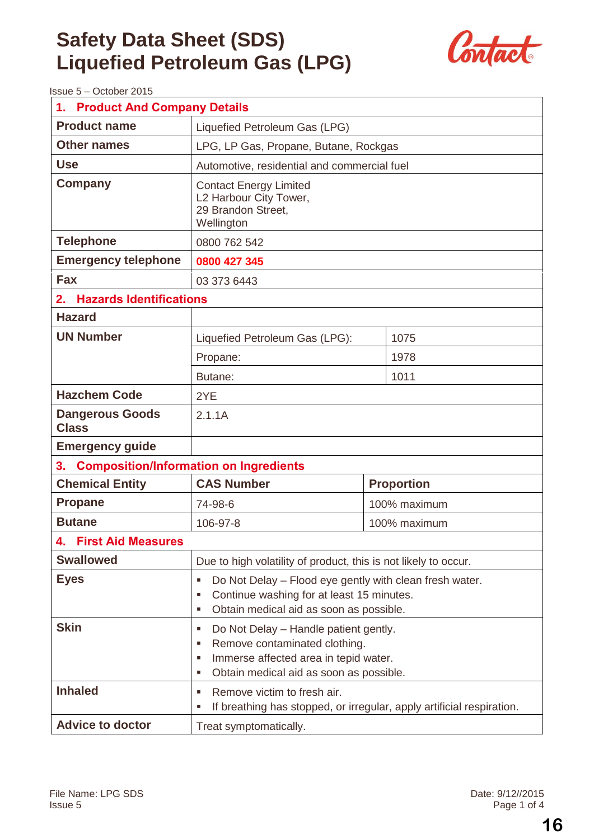

Issue 5 – October 2015

| <b>Product And Company Details</b><br>1.            |                                                                                                                                                                                |                   |  |  |
|-----------------------------------------------------|--------------------------------------------------------------------------------------------------------------------------------------------------------------------------------|-------------------|--|--|
| <b>Product name</b>                                 | Liquefied Petroleum Gas (LPG)                                                                                                                                                  |                   |  |  |
| <b>Other names</b>                                  | LPG, LP Gas, Propane, Butane, Rockgas                                                                                                                                          |                   |  |  |
| <b>Use</b>                                          | Automotive, residential and commercial fuel                                                                                                                                    |                   |  |  |
| <b>Company</b>                                      | <b>Contact Energy Limited</b><br>L2 Harbour City Tower,<br>29 Brandon Street,<br>Wellington                                                                                    |                   |  |  |
| <b>Telephone</b>                                    | 0800 762 542                                                                                                                                                                   |                   |  |  |
| <b>Emergency telephone</b>                          | 0800 427 345                                                                                                                                                                   |                   |  |  |
| <b>Fax</b>                                          | 03 373 6443                                                                                                                                                                    |                   |  |  |
| <b>Hazards Identifications</b><br>2.                |                                                                                                                                                                                |                   |  |  |
| <b>Hazard</b>                                       |                                                                                                                                                                                |                   |  |  |
| <b>UN Number</b>                                    | Liquefied Petroleum Gas (LPG):                                                                                                                                                 | 1075              |  |  |
|                                                     | Propane:                                                                                                                                                                       | 1978              |  |  |
|                                                     | Butane:                                                                                                                                                                        | 1011              |  |  |
| <b>Hazchem Code</b>                                 | 2YE                                                                                                                                                                            |                   |  |  |
| <b>Dangerous Goods</b><br><b>Class</b>              | 2.1.1A                                                                                                                                                                         |                   |  |  |
| <b>Emergency guide</b>                              |                                                                                                                                                                                |                   |  |  |
| <b>Composition/Information on Ingredients</b><br>3. |                                                                                                                                                                                |                   |  |  |
| <b>Chemical Entity</b>                              | <b>CAS Number</b>                                                                                                                                                              | <b>Proportion</b> |  |  |
| <b>Propane</b>                                      | 74-98-6                                                                                                                                                                        | 100% maximum      |  |  |
| <b>Butane</b>                                       | 106-97-8<br>100% maximum                                                                                                                                                       |                   |  |  |
| 4. First Aid Measures                               |                                                                                                                                                                                |                   |  |  |
| <b>Swallowed</b>                                    | Due to high volatility of product, this is not likely to occur.                                                                                                                |                   |  |  |
| <b>Eyes</b>                                         | Do Not Delay – Flood eye gently with clean fresh water.<br>в<br>Continue washing for at least 15 minutes.<br>п<br>Obtain medical aid as soon as possible.<br>п                 |                   |  |  |
| <b>Skin</b>                                         | Do Not Delay - Handle patient gently.<br>в<br>Remove contaminated clothing.<br>п<br>Immerse affected area in tepid water.<br>п<br>Obtain medical aid as soon as possible.<br>п |                   |  |  |
| <b>Inhaled</b>                                      | Remove victim to fresh air.<br>л<br>If breathing has stopped, or irregular, apply artificial respiration.<br>Е                                                                 |                   |  |  |
| <b>Advice to doctor</b>                             | Treat symptomatically.                                                                                                                                                         |                   |  |  |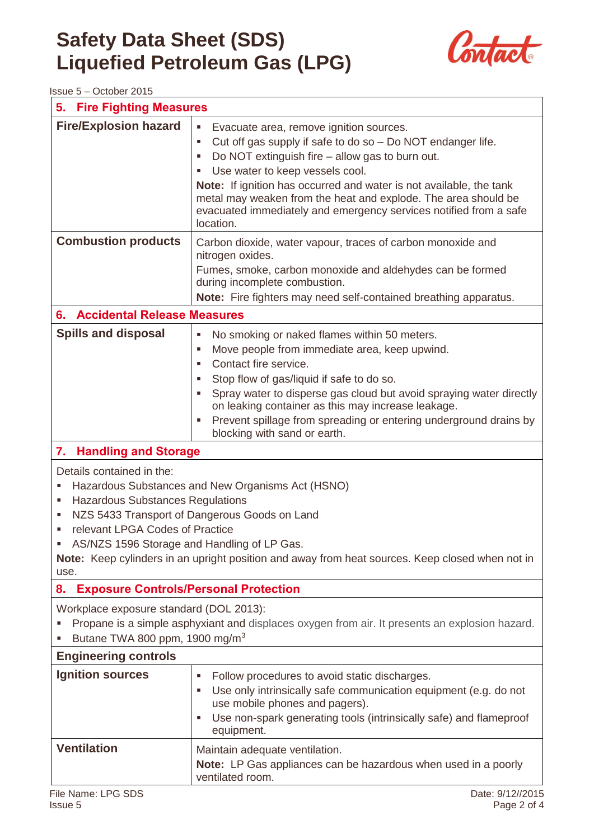

Issue 5 – October 2015

| <b>Fire Fighting Measures</b><br>5.                                                                                                                                                                                                                                                                                                                                                         |                                                                                                                                                                                                                                                                                                                                                                                                                                                     |  |
|---------------------------------------------------------------------------------------------------------------------------------------------------------------------------------------------------------------------------------------------------------------------------------------------------------------------------------------------------------------------------------------------|-----------------------------------------------------------------------------------------------------------------------------------------------------------------------------------------------------------------------------------------------------------------------------------------------------------------------------------------------------------------------------------------------------------------------------------------------------|--|
| <b>Fire/Explosion hazard</b>                                                                                                                                                                                                                                                                                                                                                                | $\blacksquare$<br>Evacuate area, remove ignition sources.<br>Cut off gas supply if safe to do so - Do NOT endanger life.<br>п<br>Do NOT extinguish fire – allow gas to burn out.<br>в<br>Use water to keep vessels cool.<br>Note: If ignition has occurred and water is not available, the tank<br>metal may weaken from the heat and explode. The area should be<br>evacuated immediately and emergency services notified from a safe<br>location. |  |
| <b>Combustion products</b>                                                                                                                                                                                                                                                                                                                                                                  | Carbon dioxide, water vapour, traces of carbon monoxide and<br>nitrogen oxides.<br>Fumes, smoke, carbon monoxide and aldehydes can be formed<br>during incomplete combustion.<br>Note: Fire fighters may need self-contained breathing apparatus.                                                                                                                                                                                                   |  |
| <b>Accidental Release Measures</b><br>6.                                                                                                                                                                                                                                                                                                                                                    |                                                                                                                                                                                                                                                                                                                                                                                                                                                     |  |
| <b>Spills and disposal</b>                                                                                                                                                                                                                                                                                                                                                                  | No smoking or naked flames within 50 meters.<br>F<br>Move people from immediate area, keep upwind.<br>п<br>Contact fire service.<br>$\blacksquare$<br>Stop flow of gas/liquid if safe to do so.<br>٠<br>Spray water to disperse gas cloud but avoid spraying water directly<br>on leaking container as this may increase leakage.<br>Prevent spillage from spreading or entering underground drains by<br>п<br>blocking with sand or earth.         |  |
| 7.<br><b>Handling and Storage</b>                                                                                                                                                                                                                                                                                                                                                           |                                                                                                                                                                                                                                                                                                                                                                                                                                                     |  |
| Details contained in the:<br>Hazardous Substances and New Organisms Act (HSNO)<br>ш<br><b>Hazardous Substances Regulations</b><br>п<br>NZS 5433 Transport of Dangerous Goods on Land<br>ш<br>relevant LPGA Codes of Practice<br>ш<br>AS/NZS 1596 Storage and Handling of LP Gas.<br>Note: Keep cylinders in an upright position and away from heat sources. Keep closed when not in<br>use. |                                                                                                                                                                                                                                                                                                                                                                                                                                                     |  |
| <b>Exposure Controls/Personal Protection</b><br>8.                                                                                                                                                                                                                                                                                                                                          |                                                                                                                                                                                                                                                                                                                                                                                                                                                     |  |
| Workplace exposure standard (DOL 2013):<br>Propane is a simple asphyxiant and displaces oxygen from air. It presents an explosion hazard.<br>Butane TWA 800 ppm, 1900 mg/m <sup>3</sup>                                                                                                                                                                                                     |                                                                                                                                                                                                                                                                                                                                                                                                                                                     |  |
| <b>Engineering controls</b>                                                                                                                                                                                                                                                                                                                                                                 |                                                                                                                                                                                                                                                                                                                                                                                                                                                     |  |
| <b>Ignition sources</b>                                                                                                                                                                                                                                                                                                                                                                     | Follow procedures to avoid static discharges.<br>п<br>Use only intrinsically safe communication equipment (e.g. do not<br>use mobile phones and pagers).<br>Use non-spark generating tools (intrinsically safe) and flameproof<br>ш<br>equipment.                                                                                                                                                                                                   |  |
| <b>Ventilation</b><br>File Name: LPG SDS                                                                                                                                                                                                                                                                                                                                                    | Maintain adequate ventilation.<br>Note: LP Gas appliances can be hazardous when used in a poorly<br>ventilated room.<br>Date: 9/12//2015                                                                                                                                                                                                                                                                                                            |  |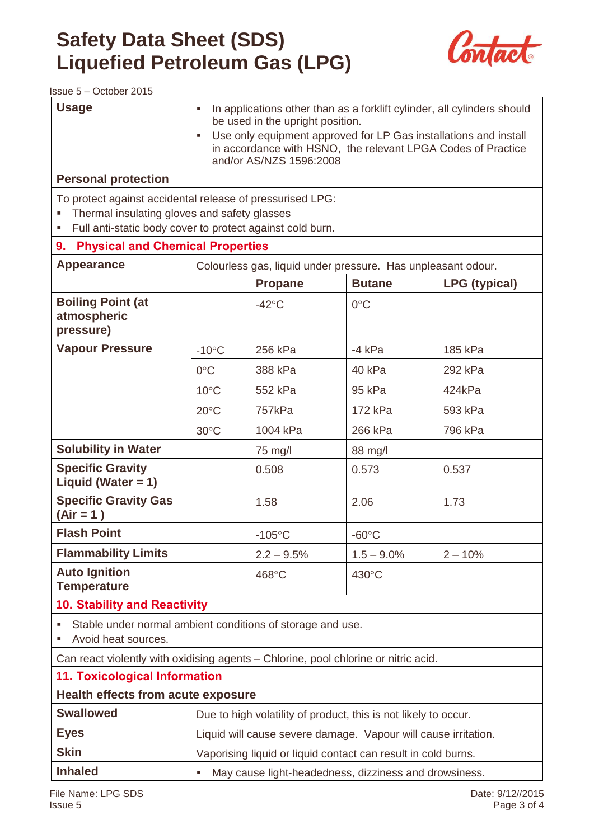

Issue 5 – October 2015

| <b>Usage</b>                                                                                                                                                           | In applications other than as a forklift cylinder, all cylinders should<br>٠<br>be used in the upright position.<br>Use only equipment approved for LP Gas installations and install<br>$\blacksquare$<br>in accordance with HSNO, the relevant LPGA Codes of Practice |                                                                 |                 |                      |
|------------------------------------------------------------------------------------------------------------------------------------------------------------------------|------------------------------------------------------------------------------------------------------------------------------------------------------------------------------------------------------------------------------------------------------------------------|-----------------------------------------------------------------|-----------------|----------------------|
|                                                                                                                                                                        |                                                                                                                                                                                                                                                                        | and/or AS/NZS 1596:2008                                         |                 |                      |
| <b>Personal protection</b>                                                                                                                                             |                                                                                                                                                                                                                                                                        |                                                                 |                 |                      |
| To protect against accidental release of pressurised LPG:<br>Thermal insulating gloves and safety glasses<br>Full anti-static body cover to protect against cold burn. |                                                                                                                                                                                                                                                                        |                                                                 |                 |                      |
| <b>Physical and Chemical Properties</b><br>9.                                                                                                                          |                                                                                                                                                                                                                                                                        |                                                                 |                 |                      |
| <b>Appearance</b>                                                                                                                                                      |                                                                                                                                                                                                                                                                        | Colourless gas, liquid under pressure. Has unpleasant odour.    |                 |                      |
|                                                                                                                                                                        |                                                                                                                                                                                                                                                                        | <b>Propane</b>                                                  | <b>Butane</b>   | <b>LPG (typical)</b> |
| <b>Boiling Point (at</b><br>atmospheric<br>pressure)                                                                                                                   |                                                                                                                                                                                                                                                                        | $-42^{\circ}$ C                                                 | $0^{\circ}$ C   |                      |
| <b>Vapour Pressure</b>                                                                                                                                                 | $-10^{\circ}$ C                                                                                                                                                                                                                                                        | 256 kPa                                                         | $-4$ kPa        | 185 kPa              |
|                                                                                                                                                                        | $0^{\circ}$ C                                                                                                                                                                                                                                                          | 388 kPa                                                         | 40 kPa          | 292 kPa              |
|                                                                                                                                                                        | $10^{\circ}$ C                                                                                                                                                                                                                                                         | 552 kPa                                                         | 95 kPa          | 424kPa               |
|                                                                                                                                                                        | $20^{\circ}$ C                                                                                                                                                                                                                                                         | 757kPa                                                          | 172 kPa         | 593 kPa              |
|                                                                                                                                                                        | $30^{\circ}$ C                                                                                                                                                                                                                                                         | 1004 kPa                                                        | 266 kPa         | 796 kPa              |
| <b>Solubility in Water</b>                                                                                                                                             |                                                                                                                                                                                                                                                                        | 75 mg/l                                                         | 88 mg/l         |                      |
| <b>Specific Gravity</b><br>Liquid (Water = $1$ )                                                                                                                       |                                                                                                                                                                                                                                                                        | 0.508                                                           | 0.573           | 0.537                |
| <b>Specific Gravity Gas</b><br>$(Air = 1)$                                                                                                                             |                                                                                                                                                                                                                                                                        | 1.58                                                            | 2.06            | 1.73                 |
| <b>Flash Point</b>                                                                                                                                                     |                                                                                                                                                                                                                                                                        | $-105^{\circ}$ C                                                | $-60^{\circ}$ C |                      |
| <b>Flammability Limits</b>                                                                                                                                             |                                                                                                                                                                                                                                                                        | $2.2 - 9.5%$                                                    | $1.5 - 9.0\%$   | $2 - 10%$            |
| <b>Auto Ignition</b><br><b>Temperature</b>                                                                                                                             |                                                                                                                                                                                                                                                                        | 468°C                                                           | 430°C           |                      |
| <b>10. Stability and Reactivity</b>                                                                                                                                    |                                                                                                                                                                                                                                                                        |                                                                 |                 |                      |
| Stable under normal ambient conditions of storage and use.<br>٠<br>Avoid heat sources.                                                                                 |                                                                                                                                                                                                                                                                        |                                                                 |                 |                      |
| Can react violently with oxidising agents - Chlorine, pool chlorine or nitric acid.                                                                                    |                                                                                                                                                                                                                                                                        |                                                                 |                 |                      |
| <b>11. Toxicological Information</b>                                                                                                                                   |                                                                                                                                                                                                                                                                        |                                                                 |                 |                      |
| <b>Health effects from acute exposure</b>                                                                                                                              |                                                                                                                                                                                                                                                                        |                                                                 |                 |                      |
| <b>Swallowed</b>                                                                                                                                                       |                                                                                                                                                                                                                                                                        | Due to high volatility of product, this is not likely to occur. |                 |                      |
| <b>Eyes</b>                                                                                                                                                            |                                                                                                                                                                                                                                                                        | Liquid will cause severe damage. Vapour will cause irritation.  |                 |                      |
| <b>Skin</b>                                                                                                                                                            | Vaporising liquid or liquid contact can result in cold burns.                                                                                                                                                                                                          |                                                                 |                 |                      |
| <b>Inhaled</b>                                                                                                                                                         | May cause light-headedness, dizziness and drowsiness.<br>٠                                                                                                                                                                                                             |                                                                 |                 |                      |